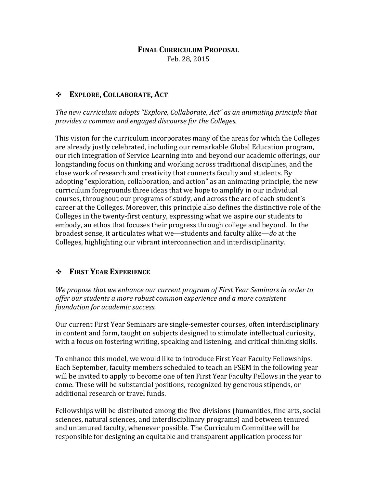## **FINAL CURRICULUM PROPOSAL** Feb. 28, 2015

## v **EXPLORE, COLLABORATE, ACT**

The new curriculum adopts "Explore, Collaborate, Act" as an animating principle that provides a common and engaged discourse for the Colleges.

This vision for the curriculum incorporates many of the areas for which the Colleges are already justly celebrated, including our remarkable Global Education program, our rich integration of Service Learning into and beyond our academic offerings, our longstanding focus on thinking and working across traditional disciplines, and the close work of research and creativity that connects faculty and students. By adopting "exploration, collaboration, and action" as an animating principle, the new curriculum foregrounds three ideas that we hope to amplify in our individual courses, throughout our programs of study, and across the arc of each student's career at the Colleges. Moreover, this principle also defines the distinctive role of the Colleges in the twenty-first century, expressing what we aspire our students to embody, an ethos that focuses their progress through college and beyond. In the broadest sense, it articulates what we—students and faculty alike—*do* at the Colleges, highlighting our vibrant interconnection and interdisciplinarity.

## $\div$  **FIRST YEAR EXPERIENCE**

*We propose that we enhance our current program of First Year Seminars in order to* offer our students a more robust common experience and a more consistent *foundation for academic success.* 

Our current First Year Seminars are single-semester courses, often interdisciplinary in content and form, taught on subjects designed to stimulate intellectual curiosity, with a focus on fostering writing, speaking and listening, and critical thinking skills.

To enhance this model, we would like to introduce First Year Faculty Fellowships. Each September, faculty members scheduled to teach an FSEM in the following year will be invited to apply to become one of ten First Year Faculty Fellows in the year to come. These will be substantial positions, recognized by generous stipends, or additional research or travel funds.

Fellowships will be distributed among the five divisions (humanities, fine arts, social sciences, natural sciences, and interdisciplinary programs) and between tenured and untenured faculty, whenever possible. The Curriculum Committee will be responsible for designing an equitable and transparent application process for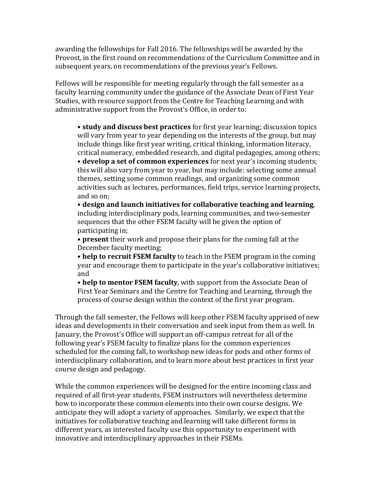awarding the fellowships for Fall 2016. The fellowships will be awarded by the Provost, in the first round on recommendations of the Curriculum Committee and in subsequent years, on recommendations of the previous year's Fellows.

Fellows will be responsible for meeting regularly through the fall semester as a faculty learning community under the guidance of the Associate Dean of First Year Studies, with resource support from the Centre for Teaching Learning and with administrative support from the Provost's Office, in order to:

• **study and discuss best practices** for first year learning; discussion topics will vary from year to year depending on the interests of the group, but may include things like first year writing, critical thinking, information literacy, critical numeracy, embedded research, and digital pedagogies, among others; • develop a set of common experiences for next year's incoming students; this will also vary from year to year, but may include: selecting some annual themes, setting some common readings, and organizing some common activities such as lectures, performances, field trips, service learning projects, and so on:

• **design and launch initiatives for collaborative teaching and learning**, including interdisciplinary pods, learning communities, and two-semester sequences that the other FSEM faculty will be given the option of participating in;

• **present** their work and propose their plans for the coming fall at the December faculty meeting;

• help to recruit FSEM faculty to teach in the FSEM program in the coming year and encourage them to participate in the year's collaborative initiatives; and

• **help to mentor FSEM faculty**, with support from the Associate Dean of First Year Seminars and the Centre for Teaching and Learning, through the process of course design within the context of the first year program.

Through the fall semester, the Fellows will keep other FSEM faculty apprised of new ideas and developments in their conversation and seek input from them as well. In January, the Provost's Office will support an off-campus retreat for all of the following year's FSEM faculty to finalize plans for the common experiences scheduled for the coming fall, to workshop new ideas for pods and other forms of interdisciplinary collaboration, and to learn more about best practices in first year course design and pedagogy.

While the common experiences will be designed for the entire incoming class and required of all first-year students, FSEM instructors will nevertheless determine how to incorporate these common elements into their own course designs. We anticipate they will adopt a variety of approaches. Similarly, we expect that the initiatives for collaborative teaching and learning will take different forms in different years, as interested faculty use this opportunity to experiment with innovative and interdisciplinary approaches in their FSEMs.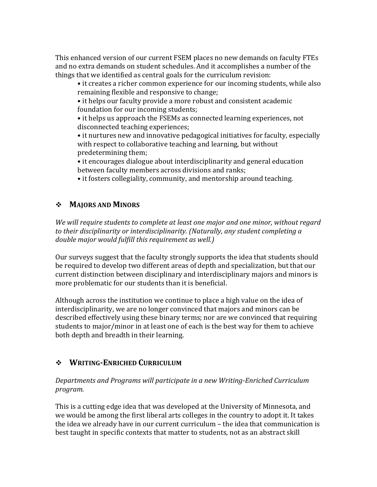This enhanced version of our current FSEM places no new demands on faculty FTEs and no extra demands on student schedules. And it accomplishes a number of the things that we identified as central goals for the curriculum revision:

• it creates a richer common experience for our incoming students, while also remaining flexible and responsive to change;

• it helps our faculty provide a more robust and consistent academic foundation for our incoming students;

• it helps us approach the FSEMs as connected learning experiences, not disconnected teaching experiences;

• it nurtures new and innovative pedagogical initiatives for faculty, especially with respect to collaborative teaching and learning, but without predetermining them;

• it encourages dialogue about interdisciplinarity and general education between faculty members across divisions and ranks;

• it fosters collegiality, community, and mentorship around teaching.

# $\div$  **MAJORS** AND **MINORS**

We will require students to complete at least one major and one minor, without regard to their disciplinarity or interdisciplinarity. *(Naturally, any student completing a double major would fulfill this requirement as well.)* 

Our surveys suggest that the faculty strongly supports the idea that students should be required to develop two different areas of depth and specialization, but that our current distinction between disciplinary and interdisciplinary majors and minors is more problematic for our students than it is beneficial.

Although across the institution we continue to place a high value on the idea of interdisciplinarity, we are no longer convinced that majors and minors can be described effectively using these binary terms; nor are we convinced that requiring students to major/minor in at least one of each is the best way for them to achieve both depth and breadth in their learning.

# v **WRITING-ENRICHED CURRICULUM**

*Departments and Programs will participate in a new Writing-Enriched Curriculum program.* 

This is a cutting edge idea that was developed at the University of Minnesota, and we would be among the first liberal arts colleges in the country to adopt it. It takes the idea we already have in our current curriculum  $-$  the idea that communication is best taught in specific contexts that matter to students, not as an abstract skill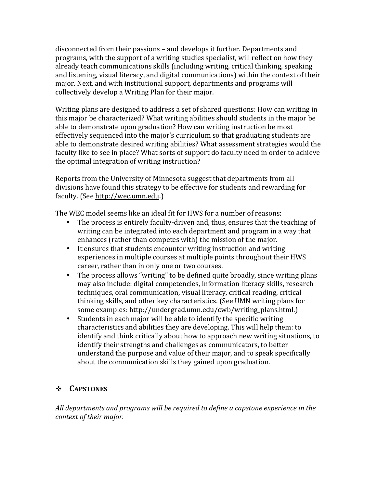disconnected from their passions – and develops it further. Departments and programs, with the support of a writing studies specialist, will reflect on how they already teach communications skills (including writing, critical thinking, speaking and listening, visual literacy, and digital communications) within the context of their major. Next, and with institutional support, departments and programs will collectively develop a Writing Plan for their major.

Writing plans are designed to address a set of shared questions: How can writing in this major be characterized? What writing abilities should students in the major be able to demonstrate upon graduation? How can writing instruction be most effectively sequenced into the major's curriculum so that graduating students are able to demonstrate desired writing abilities? What assessment strategies would the faculty like to see in place? What sorts of support do faculty need in order to achieve the optimal integration of writing instruction?

Reports from the University of Minnesota suggest that departments from all divisions have found this strategy to be effective for students and rewarding for faculty. (See http://wec.umn.edu.)

The WEC model seems like an ideal fit for HWS for a number of reasons:

- The process is entirely faculty-driven and, thus, ensures that the teaching of writing can be integrated into each department and program in a way that enhances (rather than competes with) the mission of the major.
- It ensures that students encounter writing instruction and writing experiences in multiple courses at multiple points throughout their HWS career, rather than in only one or two courses.
- The process allows "writing" to be defined quite broadly, since writing plans may also include: digital competencies, information literacy skills, research techniques, oral communication, visual literacy, critical reading, critical thinking skills, and other key characteristics. (See UMN writing plans for some examples: http://undergrad.umn.edu/cwb/writing\_plans.html.)
- Students in each major will be able to identify the specific writing characteristics and abilities they are developing. This will help them: to identify and think critically about how to approach new writing situations, to identify their strengths and challenges as communicators, to better understand the purpose and value of their major, and to speak specifically about the communication skills they gained upon graduation.

## v **CAPSTONES**

All departments and programs will be required to define a capstone experience in the *context of their major.*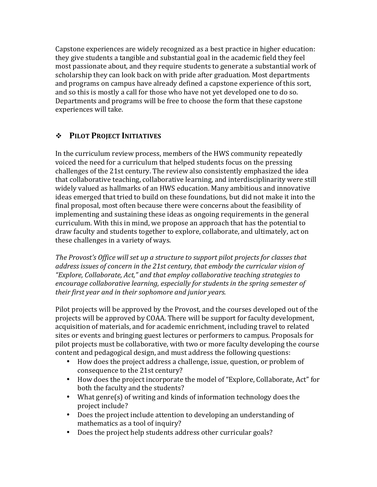Capstone experiences are widely recognized as a best practice in higher education: they give students a tangible and substantial goal in the academic field they feel most passionate about, and they require students to generate a substantial work of scholarship they can look back on with pride after graduation. Most departments and programs on campus have already defined a capstone experience of this sort, and so this is mostly a call for those who have not yet developed one to do so. Departments and programs will be free to choose the form that these capstone experiences will take.

## $\div$  PILOT PROJECT INITIATIVES

In the curriculum review process, members of the HWS community repeatedly voiced the need for a curriculum that helped students focus on the pressing challenges of the 21st century. The review also consistently emphasized the idea that collaborative teaching, collaborative learning, and interdisciplinarity were still widely valued as hallmarks of an HWS education. Many ambitious and innovative ideas emerged that tried to build on these foundations, but did not make it into the final proposal, most often because there were concerns about the feasibility of implementing and sustaining these ideas as ongoing requirements in the general curriculum. With this in mind, we propose an approach that has the potential to draw faculty and students together to explore, collaborate, and ultimately, act on these challenges in a variety of ways.

The Provost's Office will set up a structure to support pilot projects for classes that address *issues of concern in the 21st century, that embody the curricular vision of "Explore, Collaborate, Act," and that employ collaborative teaching strategies to encourage collaborative learning, especially for students in the spring semester of their first year and in their sophomore and junior years.*

Pilot projects will be approved by the Provost, and the courses developed out of the projects will be approved by COAA. There will be support for faculty development, acquisition of materials, and for academic enrichment, including travel to related sites or events and bringing guest lectures or performers to campus. Proposals for pilot projects must be collaborative, with two or more faculty developing the course content and pedagogical design, and must address the following questions:

- How does the project address a challenge, issue, question, or problem of consequence to the 21st century?
- How does the project incorporate the model of "Explore, Collaborate, Act" for both the faculty and the students?
- What genre(s) of writing and kinds of information technology does the project include?
- Does the project include attention to developing an understanding of mathematics as a tool of inquiry?
- Does the project help students address other curricular goals?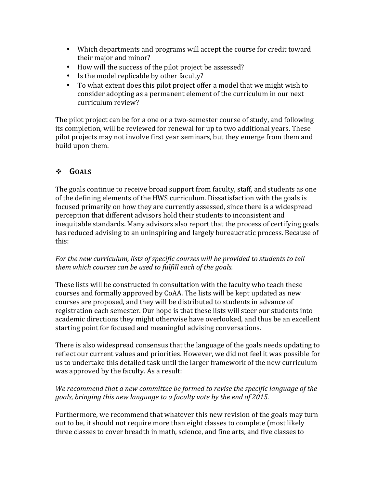- Which departments and programs will accept the course for credit toward their major and minor?
- How will the success of the pilot project be assessed?
- Is the model replicable by other faculty?
- To what extent does this pilot project offer a model that we might wish to consider adopting as a permanent element of the curriculum in our next curriculum review?

The pilot project can be for a one or a two-semester course of study, and following its completion, will be reviewed for renewal for up to two additional years. These pilot projects may not involve first year seminars, but they emerge from them and build upon them.

# v **GOALS**

The goals continue to receive broad support from faculty, staff, and students as one of the defining elements of the HWS curriculum. Dissatisfaction with the goals is focused primarily on how they are currently assessed, since there is a widespread perception that different advisors hold their students to inconsistent and inequitable standards. Many advisors also report that the process of certifying goals has reduced advising to an uninspiring and largely bureaucratic process. Because of this:

#### For the new curriculum, lists of specific courses will be provided to students to tell them which courses can be used to fulfill each of the goals.

These lists will be constructed in consultation with the faculty who teach these courses and formally approved by CoAA. The lists will be kept updated as new courses are proposed, and they will be distributed to students in advance of registration each semester. Our hope is that these lists will steer our students into academic directions they might otherwise have overlooked, and thus be an excellent starting point for focused and meaningful advising conversations.

There is also widespread consensus that the language of the goals needs updating to reflect our current values and priorities. However, we did not feel it was possible for us to undertake this detailed task until the larger framework of the new curriculum was approved by the faculty. As a result:

## *We recommend that a new committee be formed to revise the specific language of the* goals, bringing this new language to a faculty vote by the end of 2015.

Furthermore, we recommend that whatever this new revision of the goals may turn out to be, it should not require more than eight classes to complete (most likely three classes to cover breadth in math, science, and fine arts, and five classes to